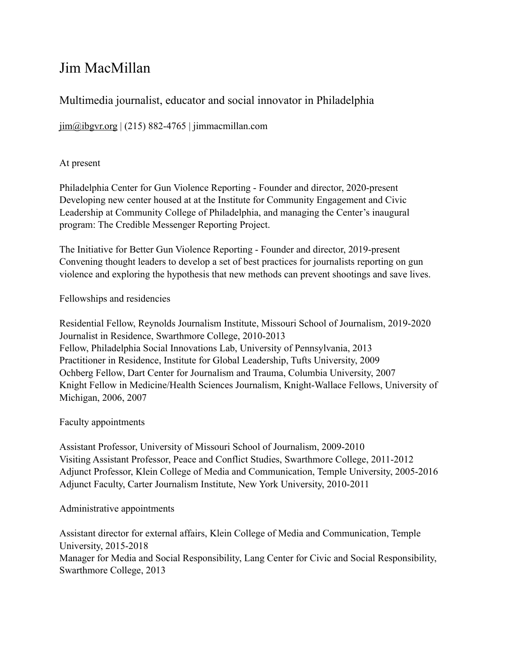# Jim MacMillan

# Multimedia journalist, educator and social innovator in Philadelphia

 $\lim_{\text{Qibgyr.org}}$  (215) 882-4765 | jimmacmillan.com

# At present

Philadelphia Center for Gun Violence Reporting - Founder and director, 2020-present Developing new center housed at at the Institute for Community Engagement and Civic Leadership at Community College of Philadelphia, and managing the Center's inaugural program: The Credible Messenger Reporting Project.

The Initiative for Better Gun Violence Reporting - Founder and director, 2019-present Convening thought leaders to develop a set of best practices for journalists reporting on gun violence and exploring the hypothesis that new methods can prevent shootings and save lives.

Fellowships and residencies

Residential Fellow, Reynolds Journalism Institute, Missouri School of Journalism, 2019-2020 Journalist in Residence, Swarthmore College, 2010-2013 Fellow, Philadelphia Social Innovations Lab, University of Pennsylvania, 2013 Practitioner in Residence, Institute for Global Leadership, Tufts University, 2009 Ochberg Fellow, Dart Center for Journalism and Trauma, Columbia University, 2007 Knight Fellow in Medicine/Health Sciences Journalism, Knight-Wallace Fellows, University of Michigan, 2006, 2007

# Faculty appointments

Assistant Professor, University of Missouri School of Journalism, 2009-2010 Visiting Assistant Professor, Peace and Conflict Studies, Swarthmore College, 2011-2012 Adjunct Professor, Klein College of Media and Communication, Temple University, 2005-2016 Adjunct Faculty, Carter Journalism Institute, New York University, 2010-2011

# Administrative appointments

Assistant director for external affairs, Klein College of Media and Communication, Temple University, 2015-2018 Manager for Media and Social Responsibility, Lang Center for Civic and Social Responsibility, Swarthmore College, 2013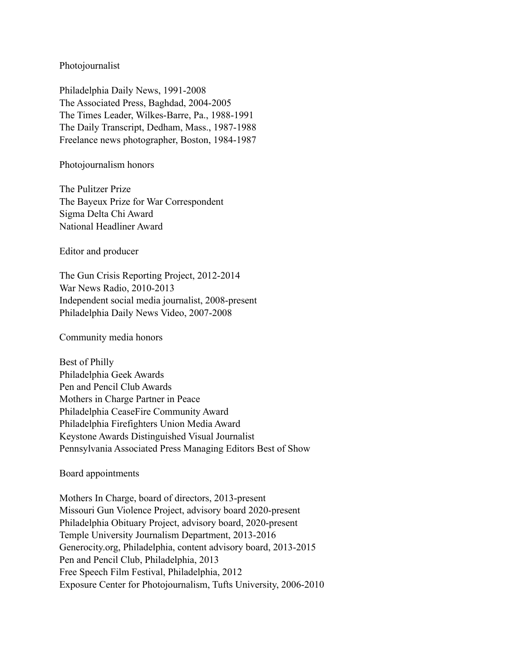#### Photojournalist

Philadelphia Daily News, 1991-2008 The Associated Press, Baghdad, 2004-2005 The Times Leader, Wilkes-Barre, Pa., 1988-1991 The Daily Transcript, Dedham, Mass., 1987-1988 Freelance news photographer, Boston, 1984-1987

Photojournalism honors

The Pulitzer Prize The Bayeux Prize for War Correspondent Sigma Delta Chi Award National Headliner Award

Editor and producer

The Gun Crisis Reporting Project, 2012-2014 War News Radio, 2010-2013 Independent social media journalist, 2008-present Philadelphia Daily News Video, 2007-2008

Community media honors

Best of Philly Philadelphia Geek Awards Pen and Pencil Club Awards Mothers in Charge Partner in Peace Philadelphia CeaseFire Community Award Philadelphia Firefighters Union Media Award Keystone Awards Distinguished Visual Journalist Pennsylvania Associated Press Managing Editors Best of Show

Board appointments

Mothers In Charge, board of directors, 2013-present Missouri Gun Violence Project, advisory board 2020-present Philadelphia Obituary Project, advisory board, 2020-present Temple University Journalism Department, 2013-2016 Generocity.org, Philadelphia, content advisory board, 2013-2015 Pen and Pencil Club, Philadelphia, 2013 Free Speech Film Festival, Philadelphia, 2012 Exposure Center for Photojournalism, Tufts University, 2006-2010